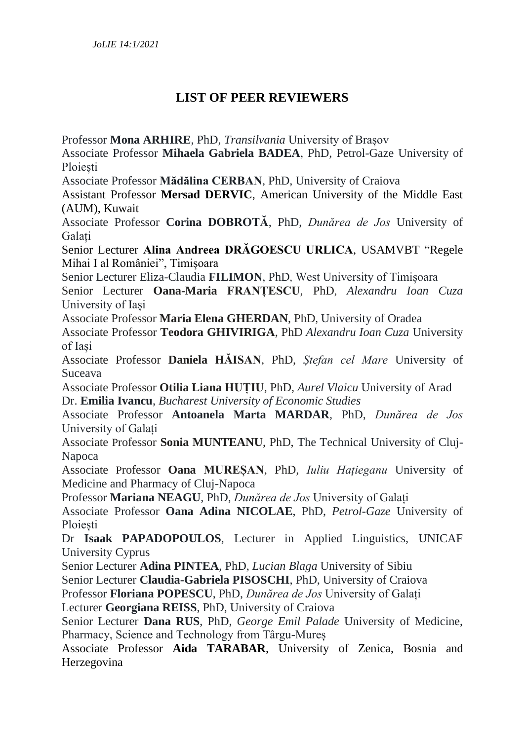## **LIST OF PEER REVIEWERS**

Professor **Mona ARHIRE**, PhD, *Transilvania* University of Brașov

Associate Professor **Mihaela Gabriela BADEA**, PhD, Petrol-Gaze University of Ploiești

Associate Professor **Mădălina CERBAN**, PhD, University of Craiova

Assistant Professor **Mersad DERVIC**, American University of the Middle East (AUM), Kuwait

Associate Professor **Corina DOBROTĂ**, PhD, *Dunărea de Jos* University of Galați

Senior Lecturer **Alina Andreea DRĂGOESCU URLICA**, USAMVBT "Regele Mihai I al României", Timișoara

Senior Lecturer Eliza-Claudia **FILIMON**, PhD, West University of Timișoara

Senior Lecturer **Oana-Maria FRANȚESCU**, PhD, *Alexandru Ioan Cuza* University of Iași

Associate Professor **Maria Elena GHERDAN**, PhD, University of Oradea

Associate Professor **Teodora GHIVIRIGA**, PhD *Alexandru Ioan Cuza* University of Iași

Associate Professor **Daniela HĂISAN**, PhD, *Ștefan cel Mare* University of Suceava

Associate Professor **Otilia Liana HUȚIU**, PhD, *Aurel Vlaicu* University of Arad Dr. **Emilia Ivancu**, *Bucharest University of Economic Studies*

Associate Professor **Antoanela Marta MARDAR**, PhD, *Dunărea de Jos* University of Galați

Associate Professor **Sonia MUNTEANU**, PhD, The Technical University of Cluj-Napoca

Associate Professor **Oana MUREȘAN**, PhD, *Iuliu Hațieganu* University of Medicine and Pharmacy of Cluj-Napoca

Professor **Mariana NEAGU**, PhD, *Dunărea de Jos* University of Galați

Associate Professor **Oana Adina NICOLAE**, PhD, *Petrol-Gaze* University of Ploiești

Dr **Isaak PAPADOPOULOS**, Lecturer in Applied Linguistics, UNICAF University Cyprus

Senior Lecturer **Adina PINTEA**, PhD, *Lucian Blaga* University of Sibiu

Senior Lecturer **Claudia-Gabriela PISOSCHI**, PhD, University of Craiova

Professor **Floriana POPESCU**, PhD, *Dunărea de Jos* University of Galați

Lecturer **Georgiana REISS**, PhD, University of Craiova

Senior Lecturer **Dana RUS**, PhD, *George Emil Palade* University of Medicine, Pharmacy, Science and Technology from Târgu-Mureș

Associate Professor **Aida TARABAR**, University of Zenica, Bosnia and Herzegovina